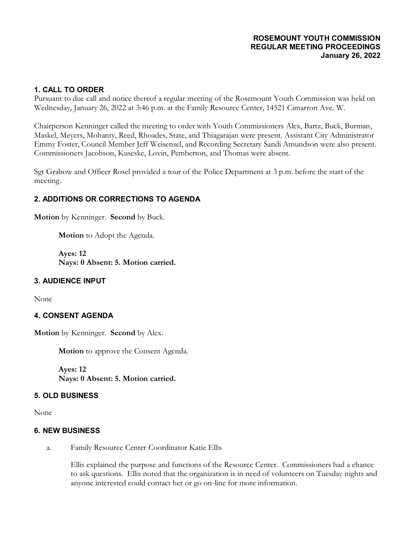#### **ROSEMOUNT YOUTH COMMISSION REGULAR MEETING PROCEEDINGS January 26, 2022**

## **1. CALL TO ORDER**

Pursuant to due call and notice thereof a regular meeting of the Rosemount Youth Commission was held on Wednesday, January 26, 2022 at 3:46 p.m. at the Family Resource Center, 14521 Cimarron Ave. W.

Chairperson Kenninger called the meeting to order with Youth Commissioners Alex, Bartz, Buck, Burman, Maskel, Meyers, Mohanty, Reed, Rhoades, State, and Thiagarajan were present. Assistant City Administrator Emmy Foster, Council Member Jeff Weisensel, and Recording Secretary Sandi Amundson were also present. Commissioners Jacobson, Kuseske, Lovin, Pemberton, and Thomas were absent.

Sgt Grabow and Officer Rosel provided a tour of the Police Department at 3 p.m. before the start of the meeting.

# **2. ADDITIONS OR CORRECTIONS TO AGENDA**

**Motion** by Kenninger. **Second** by Buck.

**Motion** to Adopt the Agenda.

**Ayes: 12 Nays: 0 Absent: 5. Motion carried.**

### **3. AUDIENCE INPUT**

None

### **4. CONSENT AGENDA**

**Motion** by Kenninger. **Second** by Alex.

**Motion** to approve the Consent Agenda.

**Ayes: 12 Nays: 0 Absent: 5. Motion carried.**

#### **5. OLD BUSINESS**

None

#### **6. NEW BUSINESS**

a. Family Resource Center Coordinator Katie Ellis

Ellis explained the purpose and functions of the Resource Center. Commissioners had a chance to ask questions. Ellis noted that the organization is in need of volunteers on Tuesday nights and anyone interested could contact her or go on-line for more information.